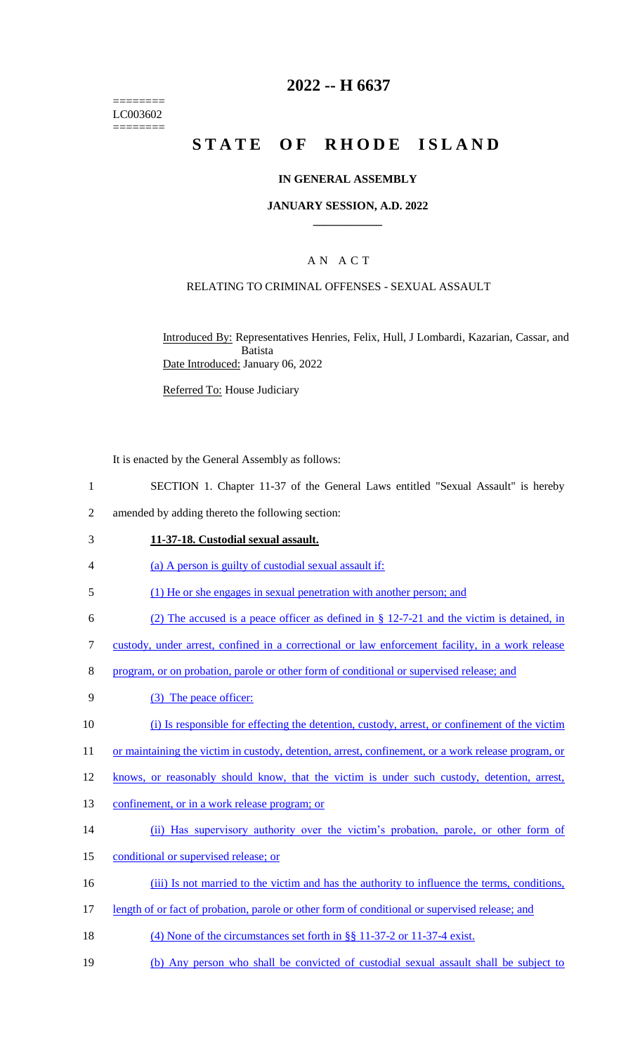======== LC003602 ========

# **2022 -- H 6637**

# **STATE OF RHODE ISLAND**

### **IN GENERAL ASSEMBLY**

#### **JANUARY SESSION, A.D. 2022 \_\_\_\_\_\_\_\_\_\_\_\_**

## A N A C T

### RELATING TO CRIMINAL OFFENSES - SEXUAL ASSAULT

Introduced By: Representatives Henries, Felix, Hull, J Lombardi, Kazarian, Cassar, and Batista Date Introduced: January 06, 2022

Referred To: House Judiciary

It is enacted by the General Assembly as follows:

- 1 SECTION 1. Chapter 11-37 of the General Laws entitled "Sexual Assault" is hereby
- 2 amended by adding thereto the following section:
- 3 **11-37-18. Custodial sexual assault.**
- 4 (a) A person is guilty of custodial sexual assault if:
- 5 (1) He or she engages in sexual penetration with another person; and
- 6 (2) The accused is a peace officer as defined in § 12-7-21 and the victim is detained, in

7 custody, under arrest, confined in a correctional or law enforcement facility, in a work release

- 8 program, or on probation, parole or other form of conditional or supervised release; and
- 9 (3) The peace officer:
- 10 (i) Is responsible for effecting the detention, custody, arrest, or confinement of the victim
- 11 or maintaining the victim in custody, detention, arrest, confinement, or a work release program, or
- 12 knows, or reasonably should know, that the victim is under such custody, detention, arrest,
- 13 confinement, or in a work release program; or
- 14 (ii) Has supervisory authority over the victim's probation, parole, or other form of
- 15 conditional or supervised release; or
- 16 (iii) Is not married to the victim and has the authority to influence the terms, conditions,
- 17 length of or fact of probation, parole or other form of conditional or supervised release; and
- 18 (4) None of the circumstances set forth in §§ 11-37-2 or 11-37-4 exist.
- 19 (b) Any person who shall be convicted of custodial sexual assault shall be subject to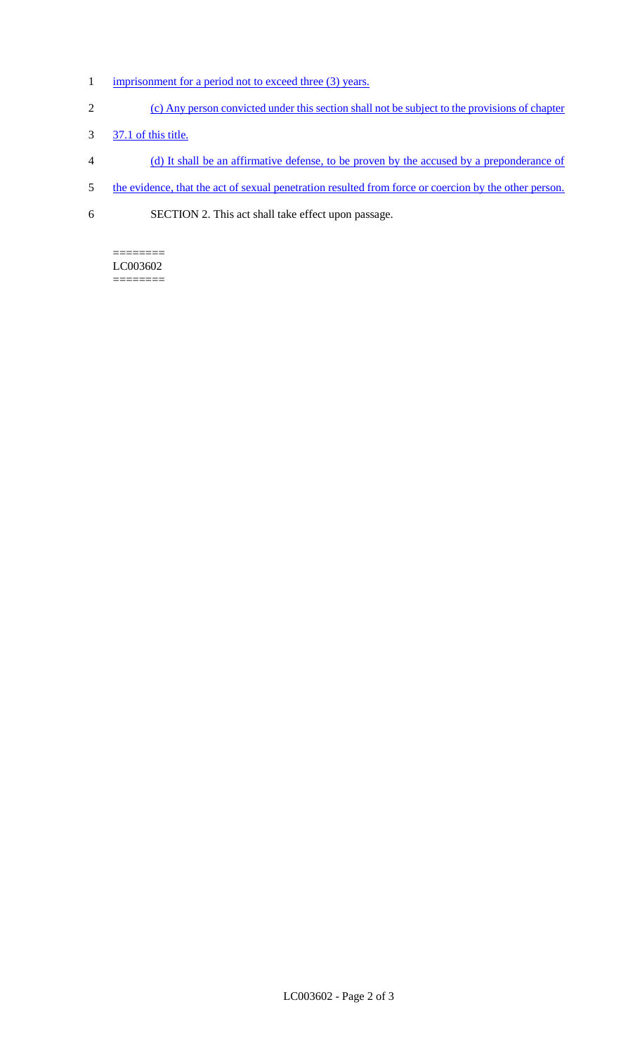- 1 imprisonment for a period not to exceed three (3) years.
- 2 (c) Any person convicted under this section shall not be subject to the provisions of chapter
- 3 37.1 of this title.
- 4 (d) It shall be an affirmative defense, to be proven by the accused by a preponderance of
- 5 the evidence, that the act of sexual penetration resulted from force or coercion by the other person.
- 6 SECTION 2. This act shall take effect upon passage.

### ======== LC003602

========